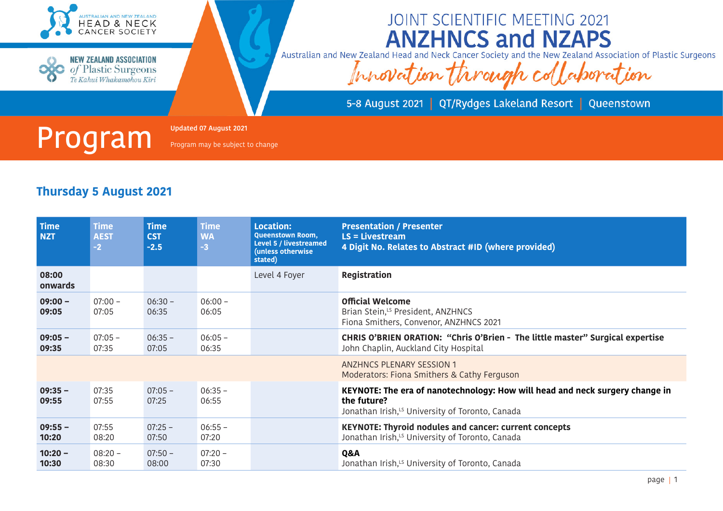



JOINT SCIENTIFIC MEETING 2021 **ANZHNCS and NZAPS** 

Australian and New Zealand Head and Neck Cancer Society and the New Zealand Association of Plastic Surgeons

Innovation through collaboration

5-8 August 2021 | QT/Rydges Lakeland Resort | Queenstown



Program may be subject to change

| <b>Time</b><br><b>NZT</b> | <b>Time</b><br><b>AEST</b><br>$-2$ | <b>Time</b><br><b>CST</b><br>$-2.5$ | <b>Time</b><br><b>WA</b><br>$-3$ | <b>Location:</b><br><b>Queenstown Room,</b><br>Level 5 / livestreamed<br>(unless otherwise<br>stated) | <b>Presentation / Presenter</b><br>$LS = Livestream$<br>4 Digit No. Relates to Abstract #ID (where provided)                                               |
|---------------------------|------------------------------------|-------------------------------------|----------------------------------|-------------------------------------------------------------------------------------------------------|------------------------------------------------------------------------------------------------------------------------------------------------------------|
| 08:00<br>onwards          |                                    |                                     |                                  | Level 4 Foyer                                                                                         | <b>Registration</b>                                                                                                                                        |
| $09:00 -$<br>09:05        | $07:00 -$<br>07:05                 | $06:30 -$<br>06:35                  | $06:00 -$<br>06:05               |                                                                                                       | <b>Official Welcome</b><br>Brian Stein, <sup>LS</sup> President, ANZHNCS<br>Fiona Smithers, Convenor, ANZHNCS 2021                                         |
| $09:05 -$<br>09:35        | $07:05 -$<br>07:35                 | $06:35 -$<br>07:05                  | $06:05 -$<br>06:35               |                                                                                                       | CHRIS O'BRIEN ORATION: "Chris O'Brien - The little master" Surgical expertise<br>John Chaplin, Auckland City Hospital                                      |
|                           |                                    |                                     |                                  |                                                                                                       | <b>ANZHNCS PLENARY SESSION 1</b><br>Moderators: Fiona Smithers & Cathy Ferguson                                                                            |
| $09:35 -$<br>09:55        | 07:35<br>07:55                     | $07:05 -$<br>07:25                  | $06:35 -$<br>06:55               |                                                                                                       | KEYNOTE: The era of nanotechnology: How will head and neck surgery change in<br>the future?<br>Jonathan Irish, <sup>15</sup> University of Toronto, Canada |
| $09:55 -$<br>10:20        | 07:55<br>08:20                     | $07:25 -$<br>07:50                  | $06:55 -$<br>07:20               |                                                                                                       | <b>KEYNOTE: Thyroid nodules and cancer: current concepts</b><br>Jonathan Irish, <sup>15</sup> University of Toronto, Canada                                |
| $10:20 -$<br>10:30        | $08:20 -$<br>08:30                 | $07:50 -$<br>08:00                  | $07:20 -$<br>07:30               |                                                                                                       | Q&A<br>Jonathan Irish, <sup>15</sup> University of Toronto, Canada                                                                                         |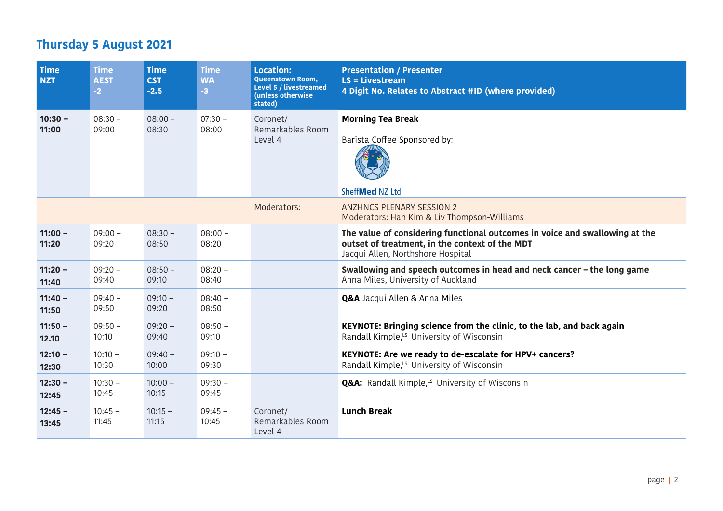| <b>Time</b><br><b>NZT</b> | <b>Time</b><br><b>AEST</b><br>$-2$ | <b>Time</b><br><b>CST</b><br>$-2.5$ | <b>Time</b><br><b>WA</b><br>$-3$ | <b>Location:</b><br><b>Queenstown Room,</b><br>Level 5 / livestreamed<br>(unless otherwise<br>stated) | <b>Presentation / Presenter</b><br>$LS = Livestream$<br>4 Digit No. Relates to Abstract #ID (where provided)                                                       |
|---------------------------|------------------------------------|-------------------------------------|----------------------------------|-------------------------------------------------------------------------------------------------------|--------------------------------------------------------------------------------------------------------------------------------------------------------------------|
| $10:30 -$<br>11:00        | $08:30 -$<br>09:00                 | $08:00 -$<br>08:30                  | $07:30 -$<br>08:00               | Coronet/<br>Remarkables Room<br>Level 4                                                               | <b>Morning Tea Break</b><br>Barista Coffee Sponsored by:<br>SheffMed NZ Ltd                                                                                        |
|                           |                                    |                                     |                                  | Moderators:                                                                                           | <b>ANZHNCS PLENARY SESSION 2</b><br>Moderators: Han Kim & Liv Thompson-Williams                                                                                    |
| $11:00 -$<br>11:20        | $09:00 -$<br>09:20                 | $08:30 -$<br>08:50                  | $08:00 -$<br>08:20               |                                                                                                       | The value of considering functional outcomes in voice and swallowing at the<br>outset of treatment, in the context of the MDT<br>Jacqui Allen, Northshore Hospital |
| $11:20 -$<br>11:40        | $09:20 -$<br>09:40                 | $08:50 -$<br>09:10                  | $08:20 -$<br>08:40               |                                                                                                       | Swallowing and speech outcomes in head and neck cancer - the long game<br>Anna Miles, University of Auckland                                                       |
| $11:40 -$<br>11:50        | $09:40 -$<br>09:50                 | $09:10 -$<br>09:20                  | $08:40 -$<br>08:50               |                                                                                                       | <b>Q&amp;A</b> Jacqui Allen & Anna Miles                                                                                                                           |
| $11:50 -$<br>12.10        | $09:50 -$<br>10:10                 | $09:20 -$<br>09:40                  | $08:50 -$<br>09:10               |                                                                                                       | KEYNOTE: Bringing science from the clinic, to the lab, and back again<br>Randall Kimple, <sup>15</sup> University of Wisconsin                                     |
| $12:10 -$<br>12:30        | $10:10 -$<br>10:30                 | $09:40 -$<br>10:00                  | $09:10 -$<br>09:30               |                                                                                                       | KEYNOTE: Are we ready to de-escalate for HPV+ cancers?<br>Randall Kimple, <sup>15</sup> University of Wisconsin                                                    |
| $12:30 -$<br>12:45        | $10:30 -$<br>10:45                 | $10:00 -$<br>10:15                  | $09:30 -$<br>09:45               |                                                                                                       | <b>Q&amp;A:</b> Randall Kimple, <sup>LS</sup> University of Wisconsin                                                                                              |
| $12:45 -$<br>13:45        | $10:45 -$<br>11:45                 | $10:15 -$<br>11:15                  | $09:45 -$<br>10:45               | Coronet/<br>Remarkables Room<br>Level 4                                                               | <b>Lunch Break</b>                                                                                                                                                 |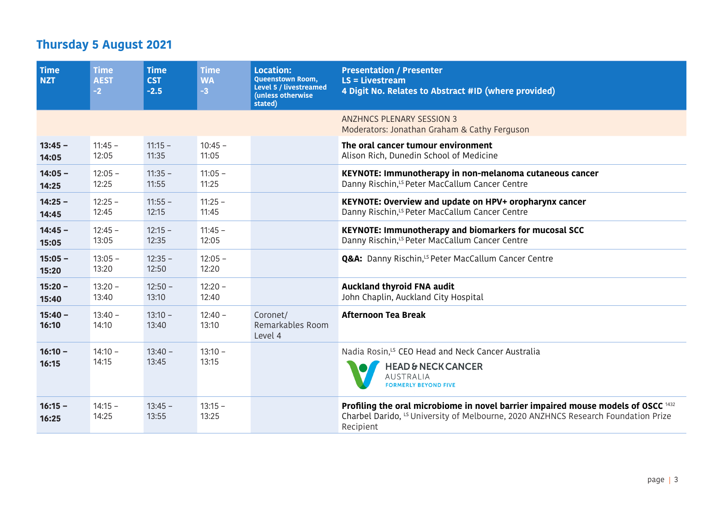| <b>Time</b><br><b>NZT</b> | <b>Time</b><br><b>AEST</b><br>$-2$ | <b>Time</b><br><b>CST</b><br>$-2.5$ | <b>Time</b><br><b>WA</b><br>$-3$ | <b>Location:</b><br><b>Queenstown Room,</b><br>Level 5 / livestreamed<br>(unless otherwise<br>stated) | <b>Presentation / Presenter</b><br>$LS = Livestream$<br>4 Digit No. Relates to Abstract #ID (where provided)                                                                                    |
|---------------------------|------------------------------------|-------------------------------------|----------------------------------|-------------------------------------------------------------------------------------------------------|-------------------------------------------------------------------------------------------------------------------------------------------------------------------------------------------------|
|                           |                                    |                                     |                                  |                                                                                                       | <b>ANZHNCS PLENARY SESSION 3</b><br>Moderators: Jonathan Graham & Cathy Ferguson                                                                                                                |
| $13:45 -$<br>14:05        | $11:45 -$<br>12:05                 | $11:15 -$<br>11:35                  | $10:45 -$<br>11:05               |                                                                                                       | The oral cancer tumour environment<br>Alison Rich, Dunedin School of Medicine                                                                                                                   |
| $14:05 -$<br>14:25        | $12:05 -$<br>12:25                 | $11:35 -$<br>11:55                  | $11:05 -$<br>11:25               |                                                                                                       | KEYNOTE: Immunotherapy in non-melanoma cutaneous cancer<br>Danny Rischin, <sup>15</sup> Peter MacCallum Cancer Centre                                                                           |
| $14:25 -$<br>14:45        | $12:25 -$<br>12:45                 | $11:55 -$<br>12:15                  | $11:25 -$<br>11:45               |                                                                                                       | KEYNOTE: Overview and update on HPV+ oropharynx cancer<br>Danny Rischin, <sup>15</sup> Peter MacCallum Cancer Centre                                                                            |
| $14:45 -$<br>15:05        | $12:45 -$<br>13:05                 | $12:15 -$<br>12:35                  | $11:45 -$<br>12:05               |                                                                                                       | KEYNOTE: Immunotherapy and biomarkers for mucosal SCC<br>Danny Rischin, <sup>15</sup> Peter MacCallum Cancer Centre                                                                             |
| $15:05 -$<br>15:20        | $13:05 -$<br>13:20                 | $12:35 -$<br>12:50                  | $12:05 -$<br>12:20               |                                                                                                       | <b>Q&amp;A:</b> Danny Rischin, <sup>LS</sup> Peter MacCallum Cancer Centre                                                                                                                      |
| $15:20 -$<br>15:40        | $13:20 -$<br>13:40                 | $12:50 -$<br>13:10                  | $12:20 -$<br>12:40               |                                                                                                       | <b>Auckland thyroid FNA audit</b><br>John Chaplin, Auckland City Hospital                                                                                                                       |
| $15:40 -$<br>16:10        | $13:40 -$<br>14:10                 | $13:10 -$<br>13:40                  | $12:40 -$<br>13:10               | Coronet/<br>Remarkables Room<br>Level 4                                                               | <b>Afternoon Tea Break</b>                                                                                                                                                                      |
| $16:10 -$<br>16:15        | $14:10 -$<br>14:15                 | $13:40 -$<br>13:45                  | $13:10 -$<br>13:15               |                                                                                                       | Nadia Rosin, <sup>15</sup> CEO Head and Neck Cancer Australia<br><b>HEAD &amp; NECK CANCER</b><br><b>AUSTRALIA</b><br><b>FORMERLY BEYOND FIVE</b>                                               |
| $16:15 -$<br>16:25        | $14:15 -$<br>14:25                 | $13:45 -$<br>13:55                  | $13:15 -$<br>13:25               |                                                                                                       | Profiling the oral microbiome in novel barrier impaired mouse models of OSCC 1432<br>Charbel Darido, <sup>LS</sup> University of Melbourne, 2020 ANZHNCS Research Foundation Prize<br>Recipient |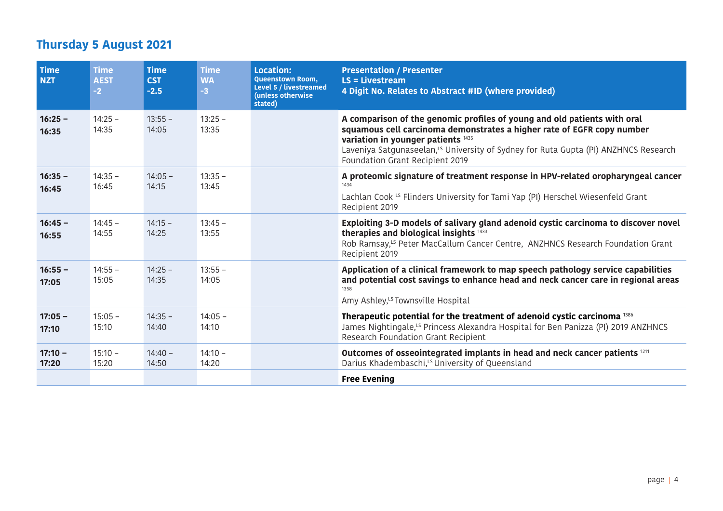| <b>Time</b><br><b>NZT</b> | <b>Time</b><br><b>AEST</b><br>$-2$ | <b>Time</b><br><b>CST</b><br>$-2.5$ | <b>Time</b><br><b>WA</b><br>$-3$ | <b>Location:</b><br>Queenstown Room,<br><b>Level 5 / livestreamed</b><br>(unless otherwise<br>stated) | <b>Presentation / Presenter</b><br>$LS = Livestream$<br>4 Digit No. Relates to Abstract #ID (where provided)                                                                                                                                                                                                                   |
|---------------------------|------------------------------------|-------------------------------------|----------------------------------|-------------------------------------------------------------------------------------------------------|--------------------------------------------------------------------------------------------------------------------------------------------------------------------------------------------------------------------------------------------------------------------------------------------------------------------------------|
| $16:25 -$<br>16:35        | $14:25 -$<br>14:35                 | $13:55 -$<br>14:05                  | $13:25 -$<br>13:35               |                                                                                                       | A comparison of the genomic profiles of young and old patients with oral<br>squamous cell carcinoma demonstrates a higher rate of EGFR copy number<br>variation in younger patients 1435<br>Laveniya Satgunaseelan, <sup>LS</sup> University of Sydney for Ruta Gupta (PI) ANZHNCS Research<br>Foundation Grant Recipient 2019 |
| $16:35 -$<br>16:45        | $14:35 -$<br>16:45                 | $14:05 -$<br>14:15                  | $13:35 -$<br>13:45               |                                                                                                       | A proteomic signature of treatment response in HPV-related oropharyngeal cancer<br>1434<br>Lachlan Cook LS Flinders University for Tami Yap (PI) Herschel Wiesenfeld Grant<br>Recipient 2019                                                                                                                                   |
| $16:45 -$<br>16:55        | $14:45 -$<br>14:55                 | $14:15 -$<br>14:25                  | $13:45 -$<br>13:55               |                                                                                                       | Exploiting 3-D models of salivary gland adenoid cystic carcinoma to discover novel<br>therapies and biological insights 1433<br>Rob Ramsay, <sup>LS</sup> Peter MacCallum Cancer Centre, ANZHNCS Research Foundation Grant<br>Recipient 2019                                                                                   |
| $16:55 -$<br>17:05        | $14:55 -$<br>15:05                 | $14:25 -$<br>14:35                  | $13:55 -$<br>14:05               |                                                                                                       | Application of a clinical framework to map speech pathology service capabilities<br>and potential cost savings to enhance head and neck cancer care in regional areas<br>1358<br>Amy Ashley, <sup>LS</sup> Townsville Hospital                                                                                                 |
| $17:05 -$<br>17:10        | $15:05 -$<br>15:10                 | $14:35 -$<br>14:40                  | $14:05 -$<br>14:10               |                                                                                                       | Therapeutic potential for the treatment of adenoid cystic carcinoma <sup>1386</sup><br>James Nightingale, <sup>LS</sup> Princess Alexandra Hospital for Ben Panizza (PI) 2019 ANZHNCS<br>Research Foundation Grant Recipient                                                                                                   |
| $17:10 -$<br>17:20        | $15:10 -$<br>15:20                 | $14:40 -$<br>14:50                  | $14:10 -$<br>14:20               |                                                                                                       | Outcomes of osseointegrated implants in head and neck cancer patients 1211<br>Darius Khadembaschi, <sup>LS</sup> University of Queensland                                                                                                                                                                                      |
|                           |                                    |                                     |                                  |                                                                                                       | <b>Free Evening</b>                                                                                                                                                                                                                                                                                                            |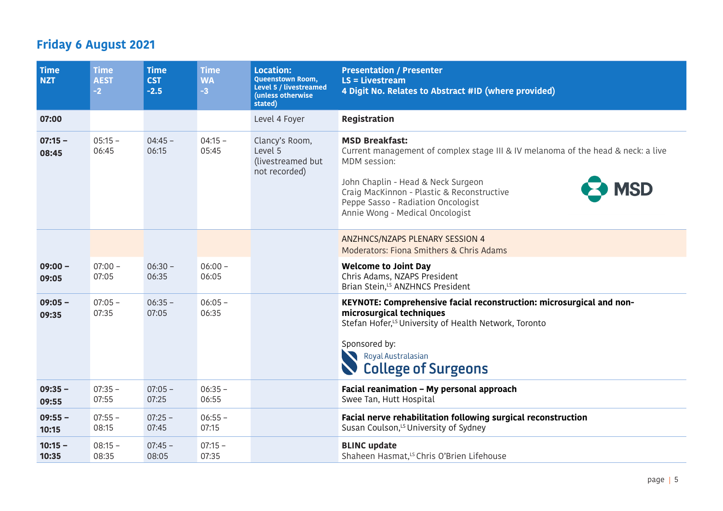| Time<br><b>NZT</b> | <b>Time</b><br><b>AEST</b><br>$-2$ | <b>Time</b><br><b>CST</b><br>$-2.5$ | <b>Time</b><br><b>WA</b><br>$-3$ | <b>Location:</b><br>Queenstown Room,<br><b>Level 5 / livestreamed</b><br>(unless otherwise<br>stated) | <b>Presentation / Presenter</b><br>$LS = Livestream$<br>4 Digit No. Relates to Abstract #ID (where provided)                                                                                                                                                                                         |
|--------------------|------------------------------------|-------------------------------------|----------------------------------|-------------------------------------------------------------------------------------------------------|------------------------------------------------------------------------------------------------------------------------------------------------------------------------------------------------------------------------------------------------------------------------------------------------------|
| 07:00              |                                    |                                     |                                  | Level 4 Foyer                                                                                         | <b>Registration</b>                                                                                                                                                                                                                                                                                  |
| $07:15 -$<br>08:45 | $05:15 -$<br>06:45                 | $04:45 -$<br>06:15                  | $04:15 -$<br>05:45               | Clancy's Room,<br>Level 5<br>(livestreamed but<br>not recorded)                                       | <b>MSD Breakfast:</b><br>Current management of complex stage III & IV melanoma of the head & neck: a live<br>MDM session:<br>John Chaplin - Head & Neck Surgeon<br><b>MSD</b><br>Craig MacKinnon - Plastic & Reconstructive<br>Peppe Sasso - Radiation Oncologist<br>Annie Wong - Medical Oncologist |
|                    |                                    |                                     |                                  |                                                                                                       | ANZHNCS/NZAPS PLENARY SESSION 4<br>Moderators: Fiona Smithers & Chris Adams                                                                                                                                                                                                                          |
| $09:00 -$<br>09:05 | $07:00 -$<br>07:05                 | $06:30 -$<br>06:35                  | $06:00 -$<br>06:05               |                                                                                                       | <b>Welcome to Joint Day</b><br>Chris Adams, NZAPS President<br>Brian Stein, <sup>LS</sup> ANZHNCS President                                                                                                                                                                                          |
| $09:05 -$<br>09:35 | $07:05 -$<br>07:35                 | $06:35 -$<br>07:05                  | $06:05 -$<br>06:35               |                                                                                                       | KEYNOTE: Comprehensive facial reconstruction: microsurgical and non-<br>microsurgical techniques<br>Stefan Hofer, <sup>15</sup> University of Health Network, Toronto<br>Sponsored by:<br>Royal Australasian<br><b>College of Surgeons</b>                                                           |
| $09:35 -$<br>09:55 | $07:35 -$<br>07:55                 | $07:05 -$<br>07:25                  | $06:35 -$<br>06:55               |                                                                                                       | Facial reanimation - My personal approach<br>Swee Tan, Hutt Hospital                                                                                                                                                                                                                                 |
| $09:55 -$<br>10:15 | $07:55 -$<br>08:15                 | $07:25 -$<br>07:45                  | $06:55 -$<br>07:15               |                                                                                                       | Facial nerve rehabilitation following surgical reconstruction<br>Susan Coulson, <sup>LS</sup> University of Sydney                                                                                                                                                                                   |
| $10:15 -$<br>10:35 | $08:15 -$<br>08:35                 | $07:45 -$<br>08:05                  | $07:15 -$<br>07:35               |                                                                                                       | <b>BLINC update</b><br>Shaheen Hasmat, <sup>LS</sup> Chris O'Brien Lifehouse                                                                                                                                                                                                                         |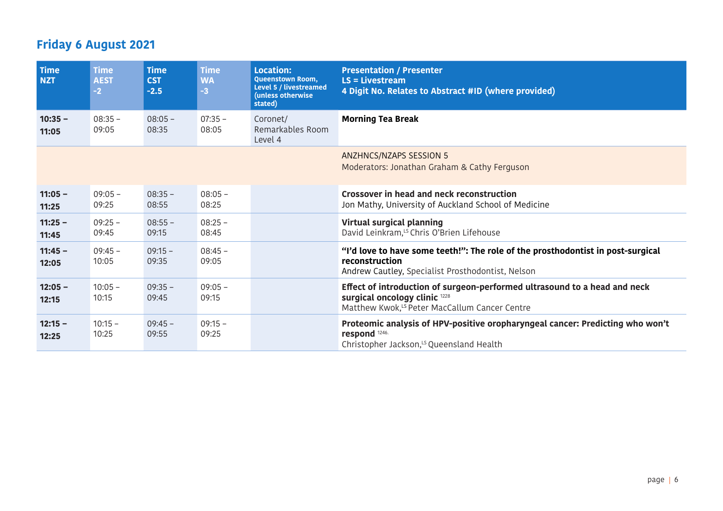| <b>Time</b><br><b>NZT</b> | <b>Time</b><br><b>AEST</b><br>$-2$ | <b>Time</b><br><b>CST</b><br>$-2.5$ | <b>Time</b><br><b>WA</b><br>$-3$ | Location:<br><b>Queenstown Room,</b><br>Level 5 / livestreamed<br>(unless otherwise<br>stated) | <b>Presentation / Presenter</b><br>$LS = Livestream$<br>4 Digit No. Relates to Abstract #ID (where provided)                                                            |
|---------------------------|------------------------------------|-------------------------------------|----------------------------------|------------------------------------------------------------------------------------------------|-------------------------------------------------------------------------------------------------------------------------------------------------------------------------|
| $10:35 -$<br>11:05        | $08:35 -$<br>09:05                 | $08:05 -$<br>08:35                  | $07:35 -$<br>08:05               | Coronet/<br>Remarkables Room<br>Level 4                                                        | <b>Morning Tea Break</b>                                                                                                                                                |
|                           |                                    |                                     |                                  |                                                                                                | ANZHNCS/NZAPS SESSION 5<br>Moderators: Jonathan Graham & Cathy Ferguson                                                                                                 |
| $11:05 -$<br>11:25        | $09:05 -$<br>09:25                 | $08:35 -$<br>08:55                  | $08:05 -$<br>08:25               |                                                                                                | Crossover in head and neck reconstruction<br>Jon Mathy, University of Auckland School of Medicine                                                                       |
| $11:25 -$<br>11:45        | $09:25 -$<br>09:45                 | $08:55 -$<br>09:15                  | $08:25 -$<br>08:45               |                                                                                                | Virtual surgical planning<br>David Leinkram, <sup>LS</sup> Chris O'Brien Lifehouse                                                                                      |
| $11:45 -$<br>12:05        | $09:45 -$<br>10:05                 | $09:15 -$<br>09:35                  | $08:45 -$<br>09:05               |                                                                                                | "I'd love to have some teeth!": The role of the prosthodontist in post-surgical<br>reconstruction<br>Andrew Cautley, Specialist Prosthodontist, Nelson                  |
| $12:05 -$<br>12:15        | $10:05 -$<br>10:15                 | $09:35 -$<br>09:45                  | $09:05 -$<br>09:15               |                                                                                                | Effect of introduction of surgeon-performed ultrasound to a head and neck<br>surgical oncology clinic 1228<br>Matthew Kwok, <sup>LS</sup> Peter MacCallum Cancer Centre |
| $12:15 -$<br>12:25        | $10:15 -$<br>10:25                 | $09:45 -$<br>09:55                  | $09:15 -$<br>09:25               |                                                                                                | Proteomic analysis of HPV-positive oropharyngeal cancer: Predicting who won't<br>respond <sup>1246.</sup><br>Christopher Jackson, <sup>15</sup> Queensland Health       |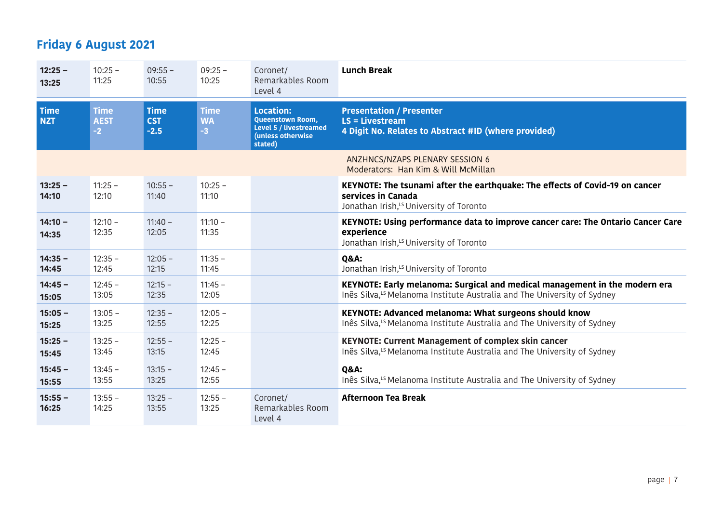| $12:25 -$<br>13:25        | $10:25 -$<br>11:25                 | $09:55 -$<br>10:55                  | $09:25 -$<br>10:25               | Coronet/<br>Remarkables Room<br>Level 4                                                        | <b>Lunch Break</b>                                                                                                                                                |
|---------------------------|------------------------------------|-------------------------------------|----------------------------------|------------------------------------------------------------------------------------------------|-------------------------------------------------------------------------------------------------------------------------------------------------------------------|
| <b>Time</b><br><b>NZT</b> | <b>Time</b><br><b>AEST</b><br>$-2$ | <b>Time</b><br><b>CST</b><br>$-2.5$ | <b>Time</b><br><b>WA</b><br>$-3$ | <b>Location:</b><br>Queenstown Room,<br>Level 5 / livestreamed<br>(unless otherwise<br>stated) | <b>Presentation / Presenter</b><br>$LS = Livestream$<br>4 Digit No. Relates to Abstract #ID (where provided)                                                      |
|                           |                                    |                                     |                                  |                                                                                                | ANZHNCS/NZAPS PLENARY SESSION 6<br>Moderators: Han Kim & Will McMillan                                                                                            |
| $13:25 -$<br>14:10        | $11:25 -$<br>12:10                 | $10:55 -$<br>11:40                  | $10:25 -$<br>11:10               |                                                                                                | KEYNOTE: The tsunami after the earthquake: The effects of Covid-19 on cancer<br>services in Canada<br>Jonathan Irish, <sup>LS</sup> University of Toronto         |
| $14:10 -$<br>14:35        | $12:10 -$<br>12:35                 | $11:40 -$<br>12:05                  | $11:10 -$<br>11:35               |                                                                                                | KEYNOTE: Using performance data to improve cancer care: The Ontario Cancer Care<br>experience<br>Jonathan Irish, <sup>15</sup> University of Toronto              |
| $14:35 -$<br>14:45        | $12:35 -$<br>12:45                 | $12:05 -$<br>12:15                  | $11:35 -$<br>11:45               |                                                                                                | <b>Q&amp;A:</b><br>Jonathan Irish, <sup>LS</sup> University of Toronto                                                                                            |
| $14:45 -$<br>15:05        | $12:45 -$<br>13:05                 | $12:15 -$<br>12:35                  | $11:45 -$<br>12:05               |                                                                                                | KEYNOTE: Early melanoma: Surgical and medical management in the modern era<br>Inês Silva, <sup>LS</sup> Melanoma Institute Australia and The University of Sydney |
| $15:05 -$<br>15:25        | $13:05 -$<br>13:25                 | $12:35 -$<br>12:55                  | $12:05 -$<br>12:25               |                                                                                                | KEYNOTE: Advanced melanoma: What surgeons should know<br>Inês Silva, <sup>LS</sup> Melanoma Institute Australia and The University of Sydney                      |
| $15:25 -$<br>15:45        | $13:25 -$<br>13:45                 | $12:55 -$<br>13:15                  | $12:25 -$<br>12:45               |                                                                                                | <b>KEYNOTE: Current Management of complex skin cancer</b><br>Inês Silva, <sup>LS</sup> Melanoma Institute Australia and The University of Sydney                  |
| $15:45 -$<br>15:55        | $13:45 -$<br>13:55                 | $13:15 -$<br>13:25                  | $12:45 -$<br>12:55               |                                                                                                | <b>Q&amp;A:</b><br>Inês Silva, <sup>LS</sup> Melanoma Institute Australia and The University of Sydney                                                            |
| $15:55 -$<br>16:25        | $13:55 -$<br>14:25                 | $13:25 -$<br>13:55                  | $12:55 -$<br>13:25               | Coronet/<br>Remarkables Room<br>Level 4                                                        | <b>Afternoon Tea Break</b>                                                                                                                                        |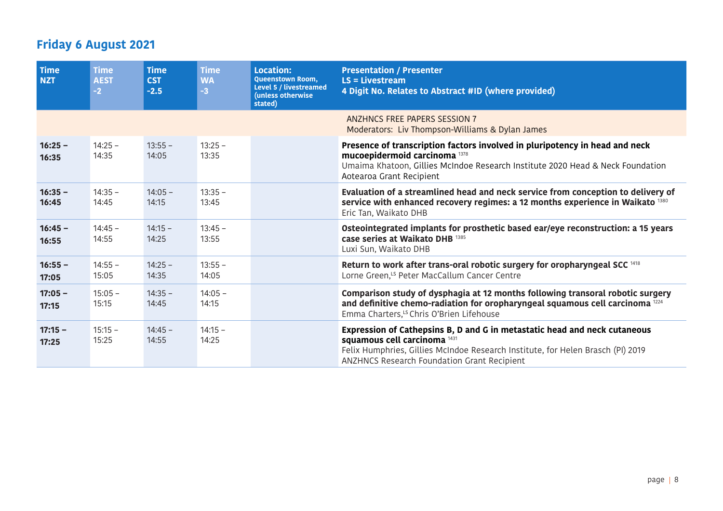| <b>Time</b><br><b>NZT</b> | <b>Time</b><br><b>AEST</b><br>$-2$ | <b>Time</b><br><b>CST</b><br>$-2.5$ | <b>Time</b><br><b>WA</b><br>$-3$ | <b>Location:</b><br><b>Queenstown Room,</b><br><b>Level 5 / livestreamed</b><br>(unless otherwise<br>stated) | <b>Presentation / Presenter</b><br>$LS = Livestream$<br>4 Digit No. Relates to Abstract #ID (where provided)                                                                                                                                                  |
|---------------------------|------------------------------------|-------------------------------------|----------------------------------|--------------------------------------------------------------------------------------------------------------|---------------------------------------------------------------------------------------------------------------------------------------------------------------------------------------------------------------------------------------------------------------|
|                           |                                    |                                     |                                  |                                                                                                              | ANZHNCS FREE PAPERS SESSION 7<br>Moderators: Liv Thompson-Williams & Dylan James                                                                                                                                                                              |
| $16:25 -$<br>16:35        | $14:25 -$<br>14:35                 | $13:55 -$<br>14:05                  | $13:25 -$<br>13:35               |                                                                                                              | Presence of transcription factors involved in pluripotency in head and neck<br>mucoepidermoid carcinoma <sup>1378</sup><br>Umaima Khatoon, Gillies McIndoe Research Institute 2020 Head & Neck Foundation<br>Aotearoa Grant Recipient                         |
| $16:35 -$<br>16:45        | $14:35 -$<br>14:45                 | $14:05 -$<br>14:15                  | $13:35 -$<br>13:45               |                                                                                                              | Evaluation of a streamlined head and neck service from conception to delivery of<br>service with enhanced recovery regimes: a 12 months experience in Waikato 1380<br>Eric Tan, Waikato DHB                                                                   |
| $16:45 -$<br>16:55        | $14:45 -$<br>14:55                 | $14:15 -$<br>14:25                  | $13:45 -$<br>13:55               |                                                                                                              | Osteointegrated implants for prosthetic based ear/eye reconstruction: a 15 years<br>case series at Waikato DHB 1385<br>Luxi Sun, Waikato DHB                                                                                                                  |
| $16:55 -$<br>17:05        | $14:55 -$<br>15:05                 | $14:25 -$<br>14:35                  | $13:55 -$<br>14:05               |                                                                                                              | Return to work after trans-oral robotic surgery for oropharyngeal SCC <sup>1418</sup><br>Lorne Green, <sup>15</sup> Peter MacCallum Cancer Centre                                                                                                             |
| $17:05 -$<br>17:15        | $15:05 -$<br>15:15                 | $14:35 -$<br>14:45                  | $14:05 -$<br>14:15               |                                                                                                              | Comparison study of dysphagia at 12 months following transoral robotic surgery<br>and definitive chemo-radiation for oropharyngeal squamous cell carcinoma <sup>1224</sup><br>Emma Charters, <sup>LS</sup> Chris O'Brien Lifehouse                            |
| $17:15 -$<br>17:25        | $15:15 -$<br>15:25                 | $14:45 -$<br>14:55                  | $14:15 -$<br>14:25               |                                                                                                              | Expression of Cathepsins B, D and G in metastatic head and neck cutaneous<br>squamous cell carcinoma <sup>1431</sup><br>Felix Humphries, Gillies McIndoe Research Institute, for Helen Brasch (PI) 2019<br><b>ANZHNCS Research Foundation Grant Recipient</b> |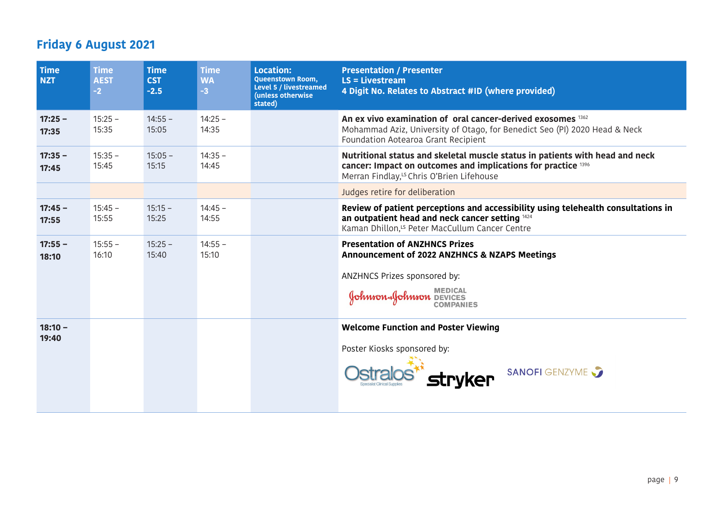| <b>Time</b><br><b>NZT</b> | <b>Time</b><br><b>AEST</b><br>$-2$ | <b>Time</b><br><b>CST</b><br>$-2.5$ | <b>Time</b><br><b>WA</b><br>$-3$ | <b>Location:</b><br><b>Queenstown Room,</b><br>Level 5 / livestreamed<br>(unless otherwise<br>stated) | <b>Presentation / Presenter</b><br>$LS = Livestream$<br>4 Digit No. Relates to Abstract #ID (where provided)                                                                                           |
|---------------------------|------------------------------------|-------------------------------------|----------------------------------|-------------------------------------------------------------------------------------------------------|--------------------------------------------------------------------------------------------------------------------------------------------------------------------------------------------------------|
| $17:25 -$<br>17:35        | $15:25 -$<br>15:35                 | $14:55 -$<br>15:05                  | $14:25 -$<br>14:35               |                                                                                                       | An ex vivo examination of oral cancer-derived exosomes 1362<br>Mohammad Aziz, University of Otago, for Benedict Seo (PI) 2020 Head & Neck<br>Foundation Aotearoa Grant Recipient                       |
| $17:35 -$<br>17:45        | $15:35 -$<br>15:45                 | $15:05 -$<br>15:15                  | $14:35 -$<br>14:45               |                                                                                                       | Nutritional status and skeletal muscle status in patients with head and neck<br>cancer: Impact on outcomes and implications for practice 1396<br>Merran Findlay, <sup>15</sup> Chris O'Brien Lifehouse |
|                           |                                    |                                     |                                  |                                                                                                       | Judges retire for deliberation                                                                                                                                                                         |
| $17:45 -$<br>17:55        | $15:45 -$<br>15:55                 | $15:15 -$<br>15:25                  | $14:45 -$<br>14:55               |                                                                                                       | Review of patient perceptions and accessibility using telehealth consultations in<br>an outpatient head and neck cancer setting 1424<br>Kaman Dhillon, <sup>15</sup> Peter MacCullum Cancer Centre     |
| $17:55 -$<br>18:10        | $15:55 -$<br>16:10                 | $15:25 -$<br>15:40                  | $14:55 -$<br>15:10               |                                                                                                       | <b>Presentation of ANZHNCS Prizes</b><br>Announcement of 2022 ANZHNCS & NZAPS Meetings<br>ANZHNCS Prizes sponsored by:<br>Sohnson Sohnson DEVICES                                                      |
| $18:10 -$<br>19:40        |                                    |                                     |                                  |                                                                                                       | <b>Welcome Function and Poster Viewing</b><br>Poster Kiosks sponsored by:<br>SANOFI GENZYME<br>stryker                                                                                                 |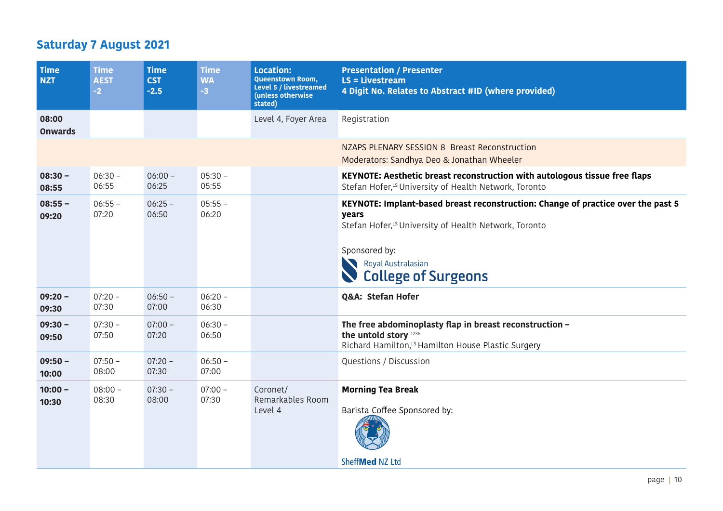## **Saturday 7 August 2021**

| Time<br><b>NZT</b>      | <b>Time</b><br><b>AEST</b><br>$-2$ | <b>Time</b><br><b>CST</b><br>$-2.5$ | <b>Time</b><br><b>WA</b><br>$-3$ | <b>Location:</b><br><b>Queenstown Room,</b><br>Level 5 / livestreamed<br>(unless otherwise<br>stated) | <b>Presentation / Presenter</b><br>$LS = Livestream$<br>4 Digit No. Relates to Abstract #ID (where provided)                                                                                                                        |
|-------------------------|------------------------------------|-------------------------------------|----------------------------------|-------------------------------------------------------------------------------------------------------|-------------------------------------------------------------------------------------------------------------------------------------------------------------------------------------------------------------------------------------|
| 08:00<br><b>Onwards</b> |                                    |                                     |                                  | Level 4, Foyer Area                                                                                   | Registration                                                                                                                                                                                                                        |
|                         |                                    |                                     |                                  |                                                                                                       | NZAPS PLENARY SESSION 8 Breast Reconstruction<br>Moderators: Sandhya Deo & Jonathan Wheeler                                                                                                                                         |
| $08:30 -$<br>08:55      | $06:30 -$<br>06:55                 | $06:00 -$<br>06:25                  | $05:30 -$<br>05:55               |                                                                                                       | KEYNOTE: Aesthetic breast reconstruction with autologous tissue free flaps<br>Stefan Hofer, <sup>LS</sup> University of Health Network, Toronto                                                                                     |
| $08:55 -$<br>09:20      | $06:55 -$<br>07:20                 | $06:25 -$<br>06:50                  | $05:55 -$<br>06:20               |                                                                                                       | KEYNOTE: Implant-based breast reconstruction: Change of practice over the past 5<br>years<br>Stefan Hofer, <sup>LS</sup> University of Health Network, Toronto<br>Sponsored by:<br>Royal Australasian<br><b>College of Surgeons</b> |
| $09:20 -$<br>09:30      | $07:20 -$<br>07:30                 | $06:50 -$<br>07:00                  | $06:20 -$<br>06:30               |                                                                                                       | Q&A: Stefan Hofer                                                                                                                                                                                                                   |
| $09:30 -$<br>09:50      | $07:30 -$<br>07:50                 | $07:00 -$<br>07:20                  | $06:30 -$<br>06:50               |                                                                                                       | The free abdominoplasty flap in breast reconstruction -<br>the untold story 1236<br>Richard Hamilton, <sup>15</sup> Hamilton House Plastic Surgery                                                                                  |
| $09:50 -$<br>10:00      | $07:50 -$<br>08:00                 | $07:20 -$<br>07:30                  | $06:50 -$<br>07:00               |                                                                                                       | Questions / Discussion                                                                                                                                                                                                              |
| $10:00 -$<br>10:30      | $08:00 -$<br>08:30                 | $07:30 -$<br>08:00                  | $07:00 -$<br>07:30               | Coronet/<br>Remarkables Room<br>Level 4                                                               | <b>Morning Tea Break</b><br>Barista Coffee Sponsored by:<br>SheffMed NZ Ltd                                                                                                                                                         |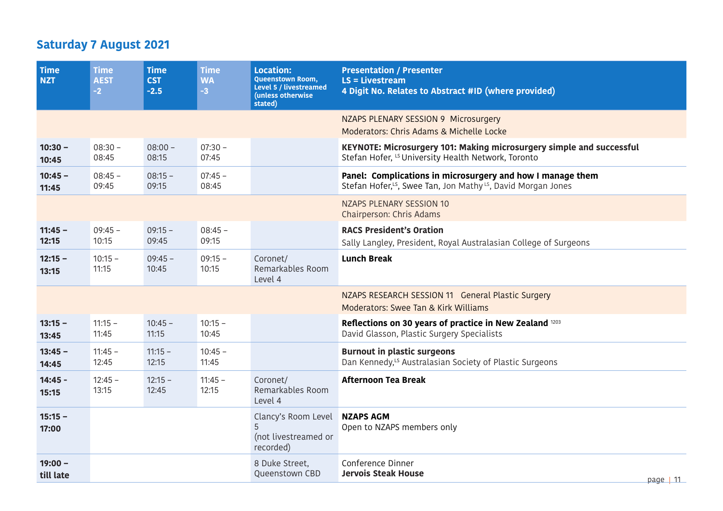## **Saturday 7 August 2021**

| <b>Time</b><br><b>NZT</b> | <b>Time</b><br><b>AEST</b><br>$-2$ | <b>Time</b><br><b>CST</b><br>$-2.5$ | <b>Time</b><br><b>WA</b><br>$-3$ | <b>Location:</b><br><b>Queenstown Room,</b><br><b>Level 5 / livestreamed</b><br>(unless otherwise<br>stated) | <b>Presentation / Presenter</b><br>$LS = Livestream$<br>4 Digit No. Relates to Abstract #ID (where provided)                                       |
|---------------------------|------------------------------------|-------------------------------------|----------------------------------|--------------------------------------------------------------------------------------------------------------|----------------------------------------------------------------------------------------------------------------------------------------------------|
|                           |                                    |                                     |                                  |                                                                                                              | NZAPS PLENARY SESSION 9 Microsurgery<br>Moderators: Chris Adams & Michelle Locke                                                                   |
| $10:30 -$<br>10:45        | $08:30 -$<br>08:45                 | $08:00 -$<br>08:15                  | $07:30 -$<br>07:45               |                                                                                                              | KEYNOTE: Microsurgery 101: Making microsurgery simple and successful<br>Stefan Hofer, <sup>LS</sup> University Health Network, Toronto             |
| $10:45 -$<br>11:45        | $08:45 -$<br>09:45                 | $08:15 -$<br>09:15                  | $07:45 -$<br>08:45               |                                                                                                              | Panel: Complications in microsurgery and how I manage them<br>Stefan Hofer, <sup>15</sup> , Swee Tan, Jon Mathy <sup>15</sup> , David Morgan Jones |
|                           |                                    |                                     |                                  |                                                                                                              | <b>NZAPS PLENARY SESSION 10</b><br>Chairperson: Chris Adams                                                                                        |
| $11:45 -$<br>12:15        | $09:45 -$<br>10:15                 | $09:15 -$<br>09:45                  | $08:45 -$<br>09:15               |                                                                                                              | <b>RACS President's Oration</b><br>Sally Langley, President, Royal Australasian College of Surgeons                                                |
| $12:15 -$<br>13:15        | $10:15 -$<br>11:15                 | $09:45 -$<br>10:45                  | $09:15 -$<br>10:15               | Coronet/<br>Remarkables Room<br>Level 4                                                                      | <b>Lunch Break</b>                                                                                                                                 |
|                           |                                    |                                     |                                  |                                                                                                              | NZAPS RESEARCH SESSION 11 General Plastic Surgery<br>Moderators: Swee Tan & Kirk Williams                                                          |
| $13:15 -$<br>13:45        | $11:15 -$<br>11:45                 | $10:45 -$<br>11:15                  | $10:15 -$<br>10:45               |                                                                                                              | Reflections on 30 years of practice in New Zealand 1203<br>David Glasson, Plastic Surgery Specialists                                              |
| $13:45 -$<br>14:45        | $11:45 -$<br>12:45                 | $11:15 -$<br>12:15                  | $10:45 -$<br>11:45               |                                                                                                              | <b>Burnout in plastic surgeons</b><br>Dan Kennedy, <sup>LS</sup> Australasian Society of Plastic Surgeons                                          |
| $14:45 -$<br>15:15        | $12:45 -$<br>13:15                 | $12:15 -$<br>12:45                  | $11:45 -$<br>12:15               | Coronet/<br>Remarkables Room<br>Level 4                                                                      | <b>Afternoon Tea Break</b>                                                                                                                         |
| $15:15 -$<br>17:00        |                                    |                                     |                                  | Clancy's Room Level<br>5<br>(not livestreamed or<br>recorded)                                                | <b>NZAPS AGM</b><br>Open to NZAPS members only                                                                                                     |
| $19:00 -$<br>till late    |                                    |                                     |                                  | 8 Duke Street,<br>Queenstown CBD                                                                             | Conference Dinner<br><b>Jervois Steak House</b><br>page $ 11 $                                                                                     |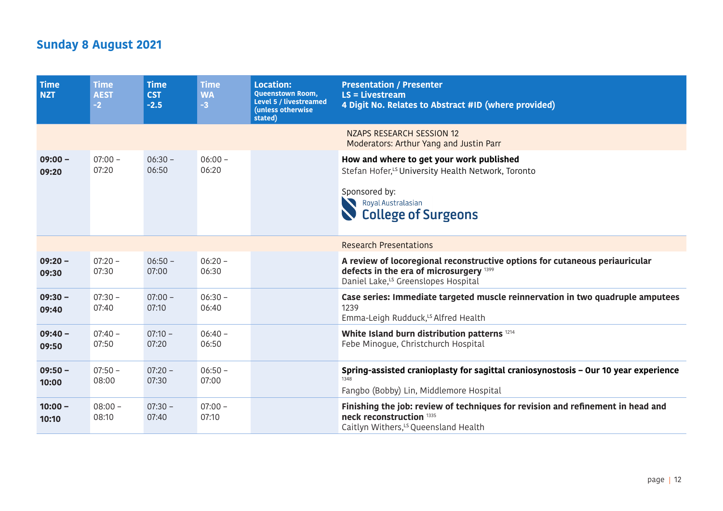## **Sunday 8 August 2021**

| <b>Time</b><br><b>NZT</b> | <b>Time</b><br><b>AEST</b><br>$-2$ | <b>Time</b><br><b>CST</b><br>$-2.5$ | <b>Time</b><br><b>WA</b><br>$-3$ | <b>Location:</b><br><b>Queenstown Room,</b><br>Level 5 / livestreamed<br>(unless otherwise<br>stated) | <b>Presentation / Presenter</b><br>$LS = Livestream$<br>4 Digit No. Relates to Abstract #ID (where provided)                                                                    |
|---------------------------|------------------------------------|-------------------------------------|----------------------------------|-------------------------------------------------------------------------------------------------------|---------------------------------------------------------------------------------------------------------------------------------------------------------------------------------|
|                           |                                    |                                     |                                  |                                                                                                       | NZAPS RESEARCH SESSION 12<br>Moderators: Arthur Yang and Justin Parr                                                                                                            |
| $09:00 -$<br>09:20        | $07:00 -$<br>07:20                 | $06:30 -$<br>06:50                  | $06:00 -$<br>06:20               |                                                                                                       | How and where to get your work published<br>Stefan Hofer, <sup>LS</sup> University Health Network, Toronto<br>Sponsored by:<br>Royal Australasian<br><b>College of Surgeons</b> |
|                           |                                    |                                     |                                  |                                                                                                       | <b>Research Presentations</b>                                                                                                                                                   |
| $09:20 -$<br>09:30        | $07:20 -$<br>07:30                 | $06:50 -$<br>07:00                  | $06:20 -$<br>06:30               |                                                                                                       | A review of locoregional reconstructive options for cutaneous periauricular<br>defects in the era of microsurgery 1399<br>Daniel Lake, <sup>LS</sup> Greenslopes Hospital       |
| $09:30 -$<br>09:40        | $07:30 -$<br>07:40                 | $07:00 -$<br>07:10                  | $06:30 -$<br>06:40               |                                                                                                       | Case series: Immediate targeted muscle reinnervation in two quadruple amputees<br>1239<br>Emma-Leigh Rudduck, <sup>LS</sup> Alfred Health                                       |
| $09:40 -$<br>09:50        | $07:40 -$<br>07:50                 | $07:10 -$<br>07:20                  | $06:40 -$<br>06:50               |                                                                                                       | White Island burn distribution patterns 1214<br>Febe Minogue, Christchurch Hospital                                                                                             |
| $09:50 -$<br>10:00        | $07:50 -$<br>08:00                 | $07:20 -$<br>07:30                  | $06:50 -$<br>07:00               |                                                                                                       | Spring-assisted cranioplasty for sagittal craniosynostosis - Our 10 year experience<br>1348<br>Fangbo (Bobby) Lin, Middlemore Hospital                                          |
| $10:00 -$<br>10:10        | $08:00 -$<br>08:10                 | $07:30 -$<br>07:40                  | $07:00 -$<br>07:10               |                                                                                                       | Finishing the job: review of techniques for revision and refinement in head and<br>neck reconstruction 1335<br>Caitlyn Withers, <sup>15</sup> Queensland Health                 |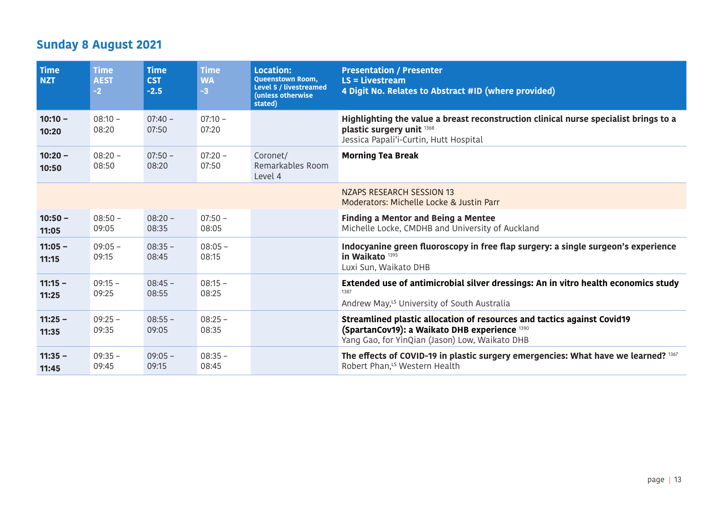## **Sunday 8 August 2021**

| Time<br><b>NZT</b> | <b>Time</b><br><b>AEST</b><br>$-2$ | <b>Time</b><br><b>CST</b><br>$-2.5$ | <b>Time</b><br><b>WA</b><br>$-3$ | <b>Location:</b><br><b>Queenstown Room,</b><br>Level 5 / livestreamed<br>(unless otherwise<br>stated) | <b>Presentation / Presenter</b><br>$LS = Livestream$<br>4 Digit No. Relates to Abstract #ID (where provided)                                                               |
|--------------------|------------------------------------|-------------------------------------|----------------------------------|-------------------------------------------------------------------------------------------------------|----------------------------------------------------------------------------------------------------------------------------------------------------------------------------|
| $10:10 -$<br>10:20 | $08:10 -$<br>08:20                 | $07:40 -$<br>07:50                  | $07:10 -$<br>07:20               |                                                                                                       | Highlighting the value a breast reconstruction clinical nurse specialist brings to a<br>plastic surgery unit 1368<br>Jessica Papali'i-Curtin, Hutt Hospital                |
| $10:20 -$<br>10:50 | $08:20 -$<br>08:50                 | $07:50 -$<br>08:20                  | $07:20 -$<br>07:50               | Coronet/<br>Remarkables Room<br>Level 4                                                               | <b>Morning Tea Break</b>                                                                                                                                                   |
|                    |                                    |                                     |                                  |                                                                                                       | NZAPS RESEARCH SESSION 13<br>Moderators: Michelle Locke & Justin Parr                                                                                                      |
| $10:50 -$<br>11:05 | $08:50 -$<br>09:05                 | $08:20 -$<br>08:35                  | $07:50 -$<br>08:05               |                                                                                                       | <b>Finding a Mentor and Being a Mentee</b><br>Michelle Locke, CMDHB and University of Auckland                                                                             |
| $11:05 -$<br>11:15 | $09:05 -$<br>09:15                 | $08:35 -$<br>08:45                  | $08:05 -$<br>08:15               |                                                                                                       | Indocyanine green fluoroscopy in free flap surgery: a single surgeon's experience<br>in Waikato 1395<br>Luxi Sun, Waikato DHB                                              |
| $11:15 -$<br>11:25 | $09:15 -$<br>09:25                 | $08:45 -$<br>08:55                  | $08:15 -$<br>08:25               |                                                                                                       | Extended use of antimicrobial silver dressings: An in vitro health economics study<br>1387<br>Andrew May, <sup>15</sup> University of South Australia                      |
| $11:25 -$<br>11:35 | $09:25 -$<br>09:35                 | $08:55 -$<br>09:05                  | $08:25 -$<br>08:35               |                                                                                                       | Streamlined plastic allocation of resources and tactics against Covid19<br>(SpartanCov19): a Waikato DHB experience 1390<br>Yang Gao, for YinQian (Jason) Low, Waikato DHB |
| $11:35 -$<br>11:45 | $09:35 -$<br>09:45                 | $09:05 -$<br>09:15                  | $08:35 -$<br>08:45               |                                                                                                       | The effects of COVID-19 in plastic surgery emergencies: What have we learned? 1367<br>Robert Phan, <sup>LS</sup> Western Health                                            |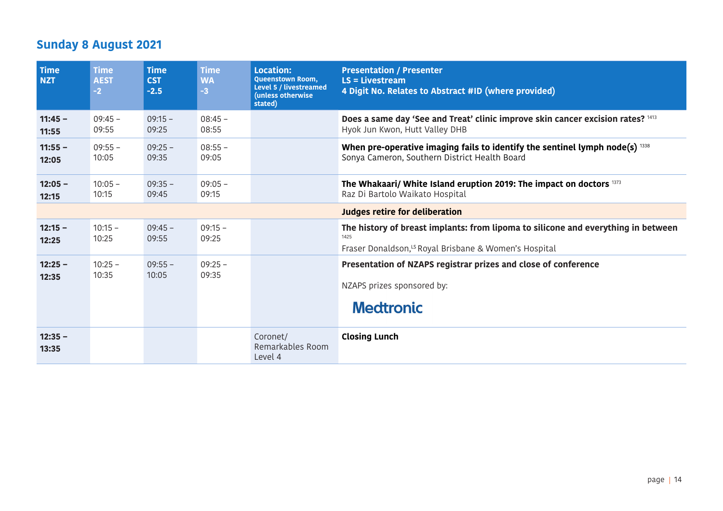## **Sunday 8 August 2021**

| <b>Time</b><br><b>NZT</b> | <b>Time</b><br><b>AEST</b><br>$-2$ | <b>Time</b><br><b>CST</b><br>$-2.5$ | <b>Time</b><br><b>WA</b><br>$-3$ | <b>Location:</b><br><b>Queenstown Room,</b><br>Level 5 / livestreamed<br>(unless otherwise<br>stated) | <b>Presentation / Presenter</b><br>$LS = Livestream$<br>4 Digit No. Relates to Abstract #ID (where provided)                                                   |
|---------------------------|------------------------------------|-------------------------------------|----------------------------------|-------------------------------------------------------------------------------------------------------|----------------------------------------------------------------------------------------------------------------------------------------------------------------|
| $11:45 -$<br>11:55        | $09:45 -$<br>09:55                 | $09:15 -$<br>09:25                  | $08:45 -$<br>08:55               |                                                                                                       | Does a same day 'See and Treat' clinic improve skin cancer excision rates? 1413<br>Hyok Jun Kwon, Hutt Valley DHB                                              |
| $11:55 -$<br>12:05        | $09:55 -$<br>10:05                 | $09:25 -$<br>09:35                  | $08:55 -$<br>09:05               |                                                                                                       | When pre-operative imaging fails to identify the sentinel lymph node(s) $1338$<br>Sonya Cameron, Southern District Health Board                                |
| $12:05 -$<br>12:15        | $10:05 -$<br>10:15                 | $09:35 -$<br>09:45                  | $09:05 -$<br>09:15               |                                                                                                       | The Whakaari/ White Island eruption 2019: The impact on doctors 1373<br>Raz Di Bartolo Waikato Hospital                                                        |
|                           |                                    |                                     |                                  |                                                                                                       | Judges retire for deliberation                                                                                                                                 |
| $12:15 -$<br>12:25        | $10:15 -$<br>10:25                 | $09:45 -$<br>09:55                  | $09:15 -$<br>09:25               |                                                                                                       | The history of breast implants: from lipoma to silicone and everything in between<br>1425<br>Fraser Donaldson, <sup>15</sup> Royal Brisbane & Women's Hospital |
| $12:25 -$<br>12:35        | $10:25 -$<br>10:35                 | $09:55 -$<br>10:05                  | $09:25 -$<br>09:35               |                                                                                                       | Presentation of NZAPS registrar prizes and close of conference<br>NZAPS prizes sponsored by:<br><b>Medtronic</b>                                               |
| $12:35 -$<br>13:35        |                                    |                                     |                                  | Coronet/<br>Remarkables Room<br>Level 4                                                               | <b>Closing Lunch</b>                                                                                                                                           |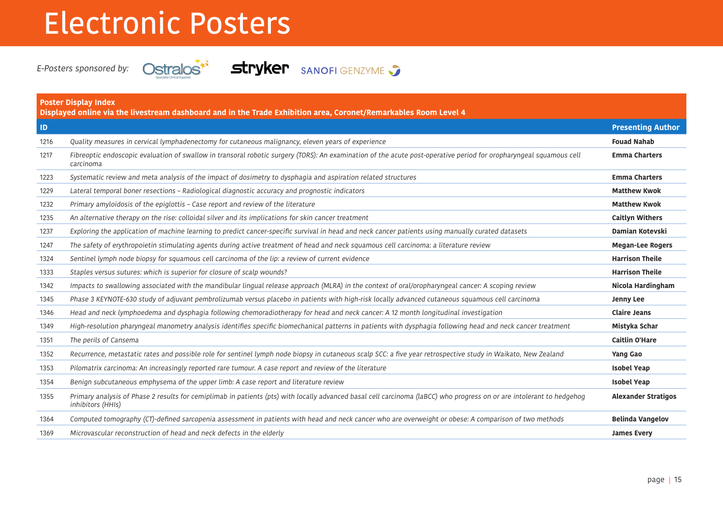# Electronic Posters



E-Posters sponsored by: **Ostralos<sup>\*\*</sup> Stryker** SANOFI GENZYME

| <b>Poster Display Index</b><br>Displayed online via the livestream dashboard and in the Trade Exhibition area, Coronet/Remarkables Room Level 4 |                                                                                                                                                                                            |                            |  |  |
|-------------------------------------------------------------------------------------------------------------------------------------------------|--------------------------------------------------------------------------------------------------------------------------------------------------------------------------------------------|----------------------------|--|--|
| $\blacksquare$                                                                                                                                  |                                                                                                                                                                                            | <b>Presenting Author</b>   |  |  |
| 1216                                                                                                                                            | Quality measures in cervical lymphadenectomy for cutaneous malignancy, eleven years of experience                                                                                          | <b>Fouad Nahab</b>         |  |  |
| 1217                                                                                                                                            | Fibreoptic endoscopic evaluation of swallow in transoral robotic surgery (TORS): An examination of the acute post-operative period for oropharyngeal squamous cell<br>carcinoma            | <b>Emma Charters</b>       |  |  |
| 1223                                                                                                                                            | Systematic review and meta analysis of the impact of dosimetry to dysphagia and aspiration related structures                                                                              | <b>Emma Charters</b>       |  |  |
| 1229                                                                                                                                            | Lateral temporal boner resections - Radiological diagnostic accuracy and prognostic indicators                                                                                             | <b>Matthew Kwok</b>        |  |  |
| 1232                                                                                                                                            | Primary amyloidosis of the epiglottis - Case report and review of the literature                                                                                                           | <b>Matthew Kwok</b>        |  |  |
| 1235                                                                                                                                            | An alternative therapy on the rise: colloidal silver and its implications for skin cancer treatment                                                                                        | <b>Caitlyn Withers</b>     |  |  |
| 1237                                                                                                                                            | Exploring the application of machine learning to predict cancer-specific survival in head and neck cancer patients using manually curated datasets                                         | Damian Kotevski            |  |  |
| 1247                                                                                                                                            | The safety of erythropoietin stimulating agents during active treatment of head and neck squamous cell carcinoma: a literature review                                                      | <b>Megan-Lee Rogers</b>    |  |  |
| 1324                                                                                                                                            | Sentinel lymph node biopsy for squamous cell carcinoma of the lip: a review of current evidence                                                                                            | <b>Harrison Theile</b>     |  |  |
| 1333                                                                                                                                            | Staples versus sutures: which is superior for closure of scalp wounds?                                                                                                                     | <b>Harrison Theile</b>     |  |  |
| 1342                                                                                                                                            | Impacts to swallowing associated with the mandibular lingual release approach (MLRA) in the context of oral/oropharyngeal cancer: A scoping review                                         | Nicola Hardingham          |  |  |
| 1345                                                                                                                                            | Phase 3 KEYNOTE-630 study of adjuvant pembrolizumab versus placebo in patients with high-risk locally advanced cutaneous squamous cell carcinoma                                           | <b>Jenny Lee</b>           |  |  |
| 1346                                                                                                                                            | Head and neck lymphoedema and dysphagia following chemoradiotherapy for head and neck cancer: A 12 month longitudinal investigation                                                        | <b>Claire Jeans</b>        |  |  |
| 1349                                                                                                                                            | High-resolution pharyngeal manometry analysis identifies specific biomechanical patterns in patients with dysphagia following head and neck cancer treatment                               | Mistyka Schar              |  |  |
| 1351                                                                                                                                            | The perils of Cansema                                                                                                                                                                      | <b>Caitlin O'Hare</b>      |  |  |
| 1352                                                                                                                                            | Recurrence, metastatic rates and possible role for sentinel lymph node biopsy in cutaneous scalp SCC: a five year retrospective study in Waikato, New Zealand                              | Yang Gao                   |  |  |
| 1353                                                                                                                                            | Pilomatrix carcinoma: An increasingly reported rare tumour. A case report and review of the literature                                                                                     | <b>Isobel Yeap</b>         |  |  |
| 1354                                                                                                                                            | Benign subcutaneous emphysema of the upper limb: A case report and literature review                                                                                                       | <b>Isobel Yeap</b>         |  |  |
| 1355                                                                                                                                            | Primary analysis of Phase 2 results for cemiplimab in patients (pts) with locally advanced basal cell carcinoma (laBCC) who progress on or are intolerant to hedgehog<br>inhibitors (HHIs) | <b>Alexander Stratigos</b> |  |  |
| 1364                                                                                                                                            | Computed tomography (CT)-defined sarcopenia assessment in patients with head and neck cancer who are overweight or obese: A comparison of two methods                                      | <b>Belinda Vangelov</b>    |  |  |
| 1369                                                                                                                                            | Microvascular reconstruction of head and neck defects in the elderly                                                                                                                       | <b>James Every</b>         |  |  |